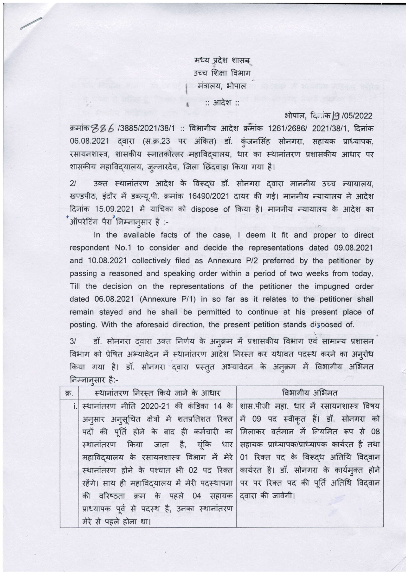मध्य प्रदेश शासन उच्च शिक्षा विभाग मंत्रालय, भोपाल

:: आदेश ::

## भोपाल, दिलांक 9 /05/2022

क्रमांक 8 8 6 /3885/2021/38/1 :: विभागीय आदेश क्रमांक 1261/2686/ 2021/38/1, दिनांक 06.08.2021 द्वारा (स.क्र.23 पर अंकित) डॉ. कुंजनसिंह सोनगरा, सहायक प्राध्यापक, रसायनशास्त्र, शासकीय स्नातकोत्तर महाविदयालय, धार का स्थानांतरण प्रशासकीय आधार पर शासकीय महाविद्यालय, जुन्नारदेव, जिला छिंदवाड़ा किया गया है।

उक्त स्थानांतरण आदेश के विरूदध डॉ. सोनगरा दवारा माननीय उच्च न्यायालय,  $21$ खण्डपीठ, इंदौर में डब्ल्यू.पी. क्रमांक 16490/2021 दायर की गई। माननीय न्यायालय ने आदेश दिनांक 15.09.2021 में याचिका को dispose of किया है। माननीय न्यायालय के आदेश का .<br>ऑपरेटिंग पैरा निम्नानुसार है :-

In the available facts of the case, I deem it fit and proper to direct respondent No.1 to consider and decide the representations dated 09.08.2021 and 10.08.2021 collectively filed as Annexure P/2 preferred by the petitioner by passing a reasoned and speaking order within a period of two weeks from today. Till the decision on the representations of the petitioner the impugned order dated 06.08.2021 (Annexure P/1) in so far as it relates to the petitioner shall remain stayed and he shall be permitted to continue at his present place of posting. With the aforesaid direction, the present petition stands disposed of.

डॉ. सोनगरा दवारा उक्त निर्णय के अनूक्रम में प्रशासकीय विभाग एवं सामान्य प्रशासन  $3/$ विभाग को प्रेषित अभ्यावेदन में स्थानांतरण आदेश निरस्त कर यथावत पदस्थ करने का अनुरोध किया गया है। डॉ. सोनगरा दवारा प्रस्तुत अभ्यावेदन के अनुक्रम में विभागीय अभिमत निम्नानुसार है:-

|                                                                                      | विभागीय अभिमत |
|--------------------------------------------------------------------------------------|---------------|
| i. स्थानांतरण नीति 2020-21 की कंडिका 14 के शास.पीजी महा. धार में रसायनशास्त्र विषय   |               |
| अनुसार अनुसूचित क्षेत्रों में शतप्रतिशत रिक्त में 09 पद स्वीकृत हैं। डॉ. सोनगरा को   |               |
| पदों की पूर्ति होने के बाद ही कर्मचारी का मिलाकर वर्तमान में नियमित रूप से 08        |               |
| स्थानांतरण किया जाता है, चूंकि धार सहायक प्राध्यापक/प्राध्यापक कार्यरत हैं तथा       |               |
| महाविदयालय के रसायनशास्त्र विभाग में मेरे 01 रिक्त पद के विरूद्ध अतिथि विद्वान       |               |
| स्थानांतरण होने के पश्चात भी 02 पद रिक्त कार्यरत है। डॉ. सोनगरा के कार्यमुक्त होने   |               |
| रहेंगे। साथ ही महाविद्यालय में मेरी पदस्थापना पर पर रिक्त पद की पूर्ति अतिथि विद्वान |               |
| की वरिष्ठता क्रम के पहले 04 सहायक दवारा की जावेगी।                                   |               |
| प्राध्यापक पूर्व से पदस्थ है, उनका स्थानांतरण                                        |               |
| मेरे से पहले होना था।                                                                |               |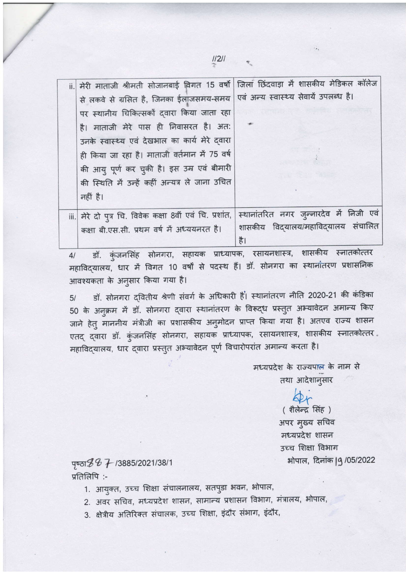| ii. मेरी माताजी श्रीमती सोजानबाई विगत 15 वर्षो जिला छिंदवाड़ा में शासकीय मेडिकल कॉलेज |                                         |
|---------------------------------------------------------------------------------------|-----------------------------------------|
| से लकवे से ग्रसित है, जिनका ईलाजसमय-समय एवं अन्य स्वास्थ्य सेवायें उपलब्ध है।         |                                         |
| पर स्थानीय चिकित्सकों दवारा किया जाता रहा                                             |                                         |
| है। माताजी मेरे पास ही निवासरत है। अत:                                                |                                         |
| उनके स्वास्थ्य एवं देखभाल का कार्य मेरे दवारा                                         |                                         |
| ही किया जा रहा है। माताजी वर्तमान में 75 वर्ष                                         |                                         |
| की आयु पूर्ण कर चुकी है। इस उम्र एवं बीमारी                                           |                                         |
| की स्थिति में उन्हें कहीं अन्यत्र ले जाना उचित                                        |                                         |
| नहीं है।                                                                              |                                         |
| iii. मेरे दो पुत्र चि. विवेक कक्षा 8वीं एवं चि. प्रशांत,                              | स्थानांतरित नगर जुन्नारदेव में निजी एवं |
| कक्षा बी.एस.सी. प्रथम वर्ष में अध्ययनरत है।                                           | शासकीय विद्यालय/महाविद्यालय संचालित     |
|                                                                                       | है।                                     |

डॉ. कुंजनसिंह सोनगरा, सहायक प्राध्यापक, रसायनशास्त्र, शासकीय स्नातकोत्तर  $4/$ महाविद्यालय, धार में विगत 10 वर्षों से पदस्थ हैं। डॉ. सोनगरा का स्थानांतरण प्रशासनिक आवश्यकता के अनुसार किया गया है।

डॉ. सोनगरा दवितीय श्रेणी संवर्ग के अधिकारी हैं। स्थानांतरण नीति 2020-21 की कंडिका  $5/$ 50 के अनुक्रम में डॉ. सोनगरा द्वारा स्थानांतरण के विरूद्ध प्रस्तुत अभ्यावेदन अमान्य किए जाने हेतु माननीय मंत्रीजी का प्रशासकीय अनुमोदन प्राप्त किया गया है। अतएव राज्य शासन एतद् द्वारा डॉ. कुंजनसिंह सोनगरा, सहायक प्राध्यापक, रसायनशास्त्र, शासकीय स्नातकोत्तर महाविद्यालय, धार द्वारा प्रस्तुत अभ्यावेदन पूर्ण विचारोपरांत अमान्य करता है।

> मध्यप्रदेश के राज्यपाल के नाम से तथा आदेशानुसार

> > (शैलेन्द्र सिंह) अपर मुख्य सचिव मध्यप्रदेश शासन उच्च शिक्षा विभाग भोपाल, दिनांक |9 /05/2022

पृष्ठा है & 7 /3885/2021/38/1 प्रतिलिपि :-

- 1. आयुक्त, उच्च शिक्षा संचालनालय, सतपुडा भवन, भोपाल,
- 2. अवर सचिव, मध्यप्रदेश शासन, सामान्य प्रशासन विभाग, मंत्रालय, भोपाल,
- 3. क्षेत्रीय अतिरिक्त संचालक, उच्च शिक्षा, इंदौर संभाग, इंदौर,

 $1/211$